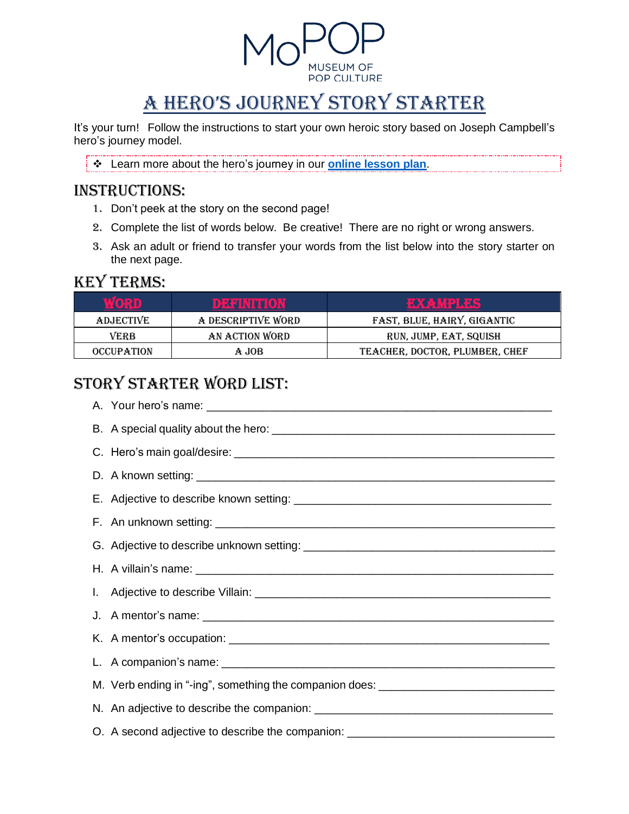

# A Hero's Journey Story Starter

It's your turn! Follow the instructions to start your own heroic story based on Joseph Campbell's hero's journey model.

❖ Learn more about the hero's journey in our **[online lesson plan](https://www.mopop.org/programs-plus-education/education/online-educational-resources/)**.

### INSTRUCTIONS:

- 1. Don't peek at the story on the second page!
- 2. Complete the list of words below. Be creative! There are no right or wrong answers.
- 3. Ask an adult or friend to transfer your words from the list below into the story starter on the next page.

#### Key Terms:

| WORD              | DE ERRITTOR        | <b>RXXXXIBRXS</b>              |
|-------------------|--------------------|--------------------------------|
| <b>ADJECTIVE</b>  | A DESCRIPTIVE WORD | FAST, BLUE, HAIRY, GIGANTIC    |
| <b>VERB</b>       | AN ACTION WORD     | RUN, JUMP, EAT, SQUISH         |
| <b>OCCUPATION</b> | A JOB              | TEACHER, DOCTOR, PLUMBER, CHEF |

# Story Starter Word List:

| M. Verb ending in "-ing", something the companion does: ________________________ |  |  |  |  |
|----------------------------------------------------------------------------------|--|--|--|--|
|                                                                                  |  |  |  |  |
| O. A second adjective to describe the companion: _______________________________ |  |  |  |  |